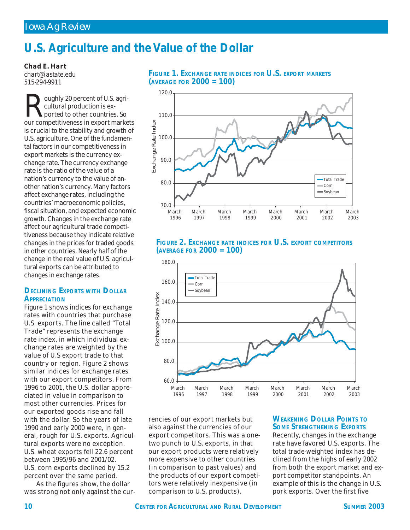# **U.S. Agriculture and the Value of the Dollar**

*Chad E. Hart*

*chart@iastate.edu 515-294-9911*

oughly 20 percent of U.S. agricultural production is exported to other countries. So our competitiveness in export markets is crucial to the stability and growth of U.S. agriculture. One of the fundamental factors in our competitiveness in export markets is the currency exchange rate. The currency exchange rate is the ratio of the value of a nation's currency to the value of another nation's currency. Many factors affect exchange rates, including the countries' macroeconomic policies, fiscal situation, and expected economic growth. Changes in the exchange rate affect our agricultural trade competitiveness because they indicate relative changes in the prices for traded goods in other countries. Nearly half of the change in the real value of U.S. agricultural exports can be attributed to changes in exchange rates.

### **DECLINING EXPORTS WITH DOLLAR APPRECIATION**

Figure 1 shows indices for exchange rates with countries that purchase U.S. exports. The line called "Total Trade" represents the exchange rate index, in which individual exchange rates are weighted by the value of U.S export trade to that country or region. Figure 2 shows similar indices for exchange rates with our export competitors. From 1996 to 2001, the U.S. dollar appreciated in value in comparison to most other currencies. Prices for our exported goods rise and fall with the dollar. So the years of late 1990 and early 2000 were, in general, rough for U.S. exports. Agricultural exports were no exception. U.S. wheat exports fell 22.6 percent between 1995/96 and 2001/02. U.S. corn exports declined by 15.2 percent over the same period.

As the figures show, the dollar was strong not only against the cur-





# **FIGURE 2. EXCHANGE RATE INDICES FOR U.S. EXPORT COMPETITORS (AVERAGE FOR 2000 = 100)**



rencies of our export markets but also against the currencies of our export competitors. This was a onetwo punch to U.S. exports, in that our export products were relatively more expensive to other countries (in comparison to past values) and the products of our export competitors were relatively inexpensive (in comparison to U.S. products).

### **WEAKENING DOLLAR POINTS TO SOME STRENGTHENING EXPORTS**

Recently, changes in the exchange rate have favored U.S. exports. The total trade-weighted index has declined from the highs of early 2002 from both the export market and export competitor standpoints. An example of this is the change in U.S. pork exports. Over the first five